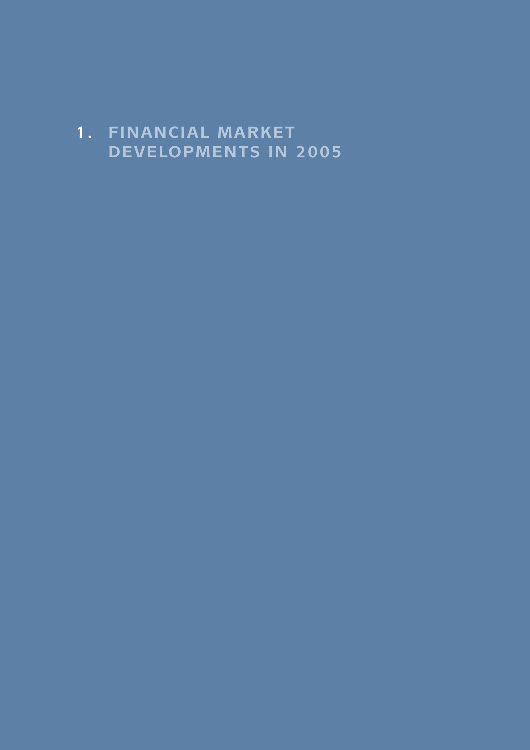# **1 . FINANCIAL MARKET DEVELOPMENTS IN 2005**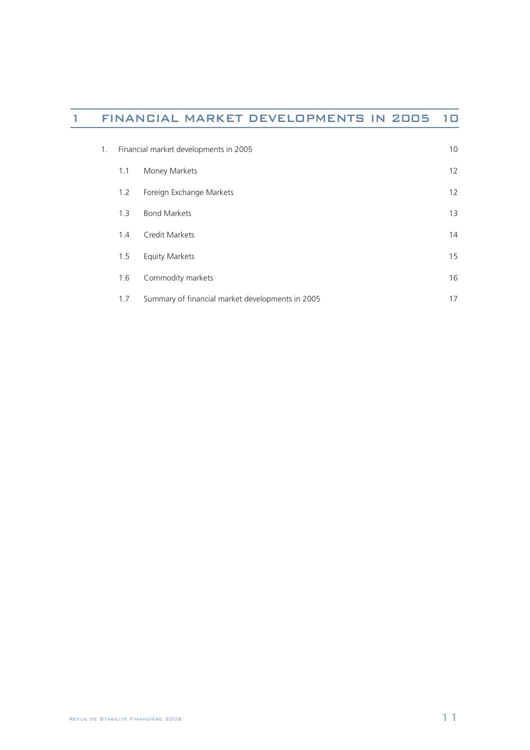# 1 FINANCIAL MARKET DEVELOPMENTS IN 2005 10

| 1. | Financial market developments in 2005 |                                                  | 10                |
|----|---------------------------------------|--------------------------------------------------|-------------------|
|    | 1.1                                   | Money Markets                                    | $12 \overline{ }$ |
|    | 1.2                                   | Foreign Exchange Markets                         | $12 \overline{ }$ |
|    | 1.3                                   | <b>Bond Markets</b>                              | 13                |
|    | 1.4                                   | Credit Markets                                   | 14                |
|    | 1.5                                   | <b>Equity Markets</b>                            | 15                |
|    | 1.6                                   | Commodity markets                                | 16                |
|    | 1.7                                   | Summary of financial market developments in 2005 | 17                |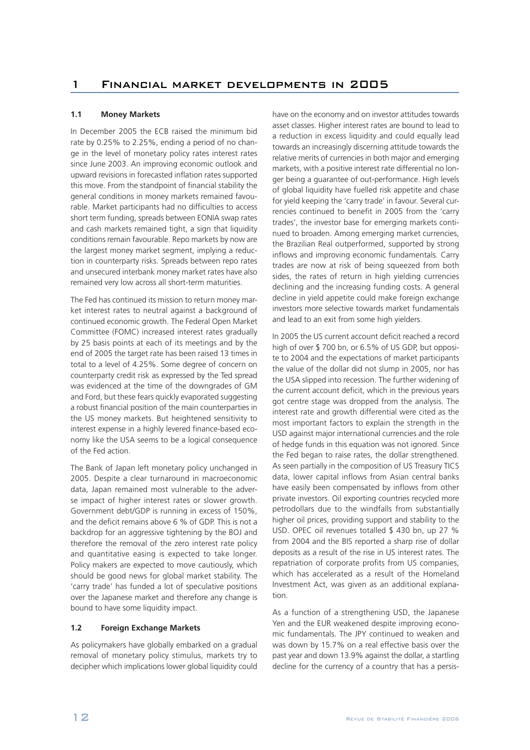## **1.1 Money Markets**

In December 2005 the ECB raised the minimum bid rate by 0.25% to 2.25%, ending a period of no change in the level of monetary policy rates interest rates since June 2003. An improving economic outlook and upward revisions in forecasted inflation rates supported this move. From the standpoint of financial stability the general conditions in money markets remained favourable. Market participants had no difficulties to access short term funding, spreads between EONIA swap rates and cash markets remained tight, a sign that liquidity conditions remain favourable. Repo markets by now are the largest money market segment, implying a reduction in counterparty risks. Spreads between repo rates and unsecured interbank money market rates have also remained very low across all short-term maturities.

The Fed has continued its mission to return money market interest rates to neutral against a background of continued economic growth. The Federal Open Market Committee (FOMC) increased interest rates gradually by 25 basis points at each of its meetings and by the end of 2005 the target rate has been raised 13 times in total to a level of 4.25%. Some degree of concern on counterparty credit risk as expressed by the Ted spread was evidenced at the time of the downgrades of GM and Ford, but these fears quickly evaporated suggesting a robust financial position of the main counterparties in the US money markets. But heightened sensitivity to interest expense in a highly levered finance-based economy like the USA seems to be a logical consequence of the Fed action.

The Bank of Japan left monetary policy unchanged in 2005. Despite a clear turnaround in macroeconomic data, Japan remained most vulnerable to the adverse impact of higher interest rates or slower growth. Government debt/GDP is running in excess of 150%, and the deficit remains above 6 % of GDP. This is not a backdrop for an aggressive tightening by the BOJ and therefore the removal of the zero interest rate policy and quantitative easing is expected to take longer. Policy makers are expected to move cautiously, which should be good news for global market stability. The 'carry trade' has funded a lot of speculative positions over the Japanese market and therefore any change is bound to have some liquidity impact.

# **1.2 Foreign Exchange Markets**

As policymakers have globally embarked on a gradual removal of monetary policy stimulus, markets try to decipher which implications lower global liquidity could

have on the economy and on investor attitudes towards asset classes. Higher interest rates are bound to lead to a reduction in excess liquidity and could equally lead towards an increasingly discerning attitude towards the relative merits of currencies in both major and emerging markets, with a positive interest rate differential no longer being a guarantee of out-performance. High levels of global liquidity have fuelled risk appetite and chase for yield keeping the 'carry trade' in favour. Several currencies continued to benefit in 2005 from the 'carry trades', the investor base for emerging markets continued to broaden. Among emerging market currencies, the Brazilian Real outperformed, supported by strong inflows and improving economic fundamentals. Carry trades are now at risk of being squeezed from both sides, the rates of return in high yielding currencies declining and the increasing funding costs. A general decline in yield appetite could make foreign exchange investors more selective towards market fundamentals and lead to an exit from some high yielders.

In 2005 the US current account deficit reached a record high of over \$ 700 bn, or 6.5% of US GDP, but opposite to 2004 and the expectations of market participants the value of the dollar did not slump in 2005, nor has the USA slipped into recession. The further widening of the current account deficit, which in the previous years got centre stage was dropped from the analysis. The interest rate and growth differential were cited as the most important factors to explain the strength in the USD against major international currencies and the role of hedge funds in this equation was not ignored. Since the Fed began to raise rates, the dollar strengthened. As seen partially in the composition of US Treasury TICS data, lower capital inflows from Asian central banks have easily been compensated by inflows from other private investors. Oil exporting countries recycled more petrodollars due to the windfalls from substantially higher oil prices, providing support and stability to the USD. OPEC oil revenues totalled \$ 430 bn, up 27 % from 2004 and the BIS reported a sharp rise of dollar deposits as a result of the rise in US interest rates. The repatriation of corporate profits from US companies, which has accelerated as a result of the Homeland Investment Act, was given as an additional explanation.

As a function of a strengthening USD, the Japanese Yen and the EUR weakened despite improving economic fundamentals. The JPY continued to weaken and was down by 15.7% on a real effective basis over the past year and down 13.9% against the dollar, a startling decline for the currency of a country that has a persis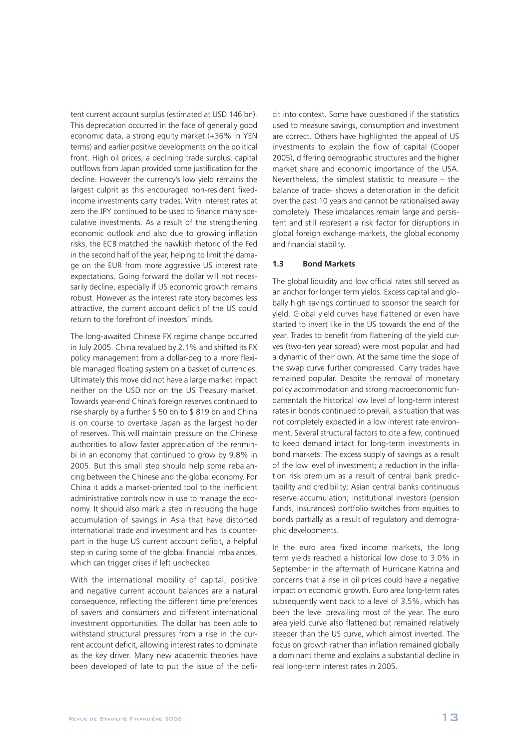tent current account surplus (estimated at USD 146 bn). This deprecation occurred in the face of generally good economic data, a strong equity market (+36% in YEN terms) and earlier positive developments on the political front. High oil prices, a declining trade surplus, capital outflows from Japan provided some justification for the decline. However the currency's low yield remains the largest culprit as this encouraged non-resident fixedincome investments carry trades. With interest rates at zero the JPY continued to be used to finance many speculative investments. As a result of the strengthening economic outlook and also due to growing inflation risks, the ECB matched the hawkish rhetoric of the Fed in the second half of the year, helping to limit the damage on the EUR from more aggressive US interest rate expectations. Going forward the dollar will not necessarily decline, especially if US economic growth remains robust. However as the interest rate story becomes less attractive, the current account deficit of the US could return to the forefront of investors' minds.

The long-awaited Chinese FX regime change occurred in July 2005. China revalued by 2.1% and shifted its FX policy management from a dollar-peg to a more flexible managed floating system on a basket of currencies. Ultimately this move did not have a large market impact neither on the USD nor on the US Treasury market. Towards year-end China's foreign reserves continued to rise sharply by a further \$ 50 bn to \$ 819 bn and China is on course to overtake Japan as the largest holder of reserves. This will maintain pressure on the Chinese authorities to allow faster appreciation of the renminbi in an economy that continued to grow by 9.8% in 2005. But this small step should help some rebalancing between the Chinese and the global economy. For China it adds a market-oriented tool to the inefficient administrative controls now in use to manage the economy. It should also mark a step in reducing the huge accumulation of savings in Asia that have distorted international trade and investment and has its counterpart in the huge US current account deficit, a helpful step in curing some of the global financial imbalances, which can trigger crises if left unchecked.

With the international mobility of capital, positive and negative current account balances are a natural consequence, reflecting the different time preferences of savers and consumers and different international investment opportunities. The dollar has been able to withstand structural pressures from a rise in the current account deficit, allowing interest rates to dominate as the key driver. Many new academic theories have been developed of late to put the issue of the deficit into context. Some have questioned if the statistics used to measure savings, consumption and investment are correct. Others have highlighted the appeal of US investments to explain the flow of capital (Cooper 2005), differing demographic structures and the higher market share and economic importance of the USA. Nevertheless, the simplest statistic to measure – the balance of trade- shows a deterioration in the deficit over the past 10 years and cannot be rationalised away completely. These imbalances remain large and persistent and still represent a risk factor for disruptions in global foreign exchange markets, the global economy and financial stability.

#### **1.3 Bond Markets**

The global liquidity and low official rates still served as an anchor for longer term yields. Excess capital and globally high savings continued to sponsor the search for yield. Global yield curves have flattened or even have started to invert like in the US towards the end of the year. Trades to benefit from flattening of the yield curves (two-ten year spread) were most popular and had a dynamic of their own. At the same time the slope of the swap curve further compressed. Carry trades have remained popular. Despite the removal of monetary policy accommodation and strong macroeconomic fundamentals the historical low level of long-term interest rates in bonds continued to prevail, a situation that was not completely expected in a low interest rate environment. Several structural factors to cite a few, continued to keep demand intact for long-term investments in bond markets: The excess supply of savings as a result of the low level of investment; a reduction in the inflation risk premium as a result of central bank predictability and credibility; Asian central banks continuous reserve accumulation; institutional investors (pension funds, insurances) portfolio switches from equities to bonds partially as a result of regulatory and demographic developments.

In the euro area fixed income markets, the long term yields reached a historical low close to 3.0% in September in the aftermath of Hurricane Katrina and concerns that a rise in oil prices could have a negative impact on economic growth. Euro area long-term rates subsequently went back to a level of 3.5%, which has been the level prevailing most of the year. The euro area yield curve also flattened but remained relatively steeper than the US curve, which almost inverted. The focus on growth rather than inflation remained globally a dominant theme and explains a substantial decline in real long-term interest rates in 2005.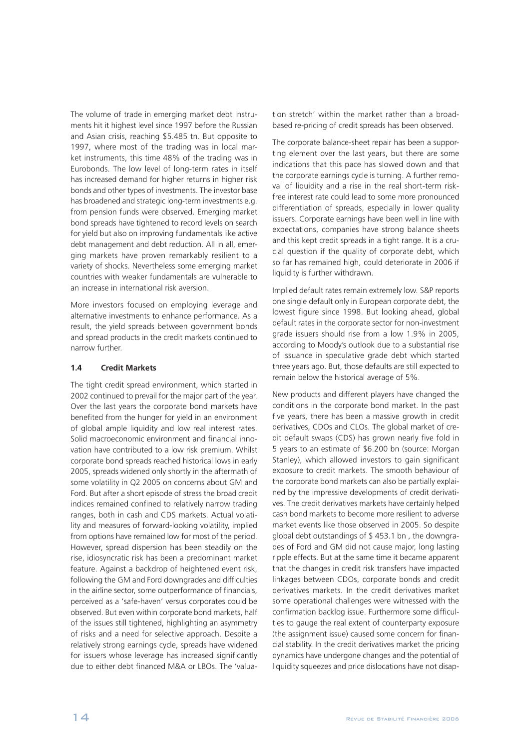The volume of trade in emerging market debt instruments hit it highest level since 1997 before the Russian and Asian crisis, reaching \$5.485 tn. But opposite to 1997, where most of the trading was in local market instruments, this time 48% of the trading was in Eurobonds. The low level of long-term rates in itself has increased demand for higher returns in higher risk bonds and other types of investments. The investor base has broadened and strategic long-term investments e.g. from pension funds were observed. Emerging market bond spreads have tightened to record levels on search for yield but also on improving fundamentals like active debt management and debt reduction. All in all, emerging markets have proven remarkably resilient to a variety of shocks. Nevertheless some emerging market countries with weaker fundamentals are vulnerable to an increase in international risk aversion.

More investors focused on employing leverage and alternative investments to enhance performance. As a result, the yield spreads between government bonds and spread products in the credit markets continued to narrow further.

#### **1.4 Credit Markets**

The tight credit spread environment, which started in 2002 continued to prevail for the major part of the year. Over the last years the corporate bond markets have benefited from the hunger for yield in an environment of global ample liquidity and low real interest rates. Solid macroeconomic environment and financial innovation have contributed to a low risk premium. Whilst corporate bond spreads reached historical lows in early 2005, spreads widened only shortly in the aftermath of some volatility in Q2 2005 on concerns about GM and Ford. But after a short episode of stress the broad credit indices remained confined to relatively narrow trading ranges, both in cash and CDS markets. Actual volatility and measures of forward-looking volatility, implied from options have remained low for most of the period. However, spread dispersion has been steadily on the rise, idiosyncratic risk has been a predominant market feature. Against a backdrop of heightened event risk, following the GM and Ford downgrades and difficulties in the airline sector, some outperformance of financials, perceived as a 'safe-haven' versus corporates could be observed. But even within corporate bond markets, half of the issues still tightened, highlighting an asymmetry of risks and a need for selective approach. Despite a relatively strong earnings cycle, spreads have widened for issuers whose leverage has increased significantly due to either debt financed M&A or LBOs. The 'valua-

tion stretch' within the market rather than a broadbased re-pricing of credit spreads has been observed.

The corporate balance-sheet repair has been a supporting element over the last years, but there are some indications that this pace has slowed down and that the corporate earnings cycle is turning. A further removal of liquidity and a rise in the real short-term riskfree interest rate could lead to some more pronounced differentiation of spreads, especially in lower quality issuers. Corporate earnings have been well in line with expectations, companies have strong balance sheets and this kept credit spreads in a tight range. It is a crucial question if the quality of corporate debt, which so far has remained high, could deteriorate in 2006 if liquidity is further withdrawn.

Implied default rates remain extremely low. S&P reports one single default only in European corporate debt, the lowest figure since 1998. But looking ahead, global default rates in the corporate sector for non-investment grade issuers should rise from a low 1.9% in 2005, according to Moody's outlook due to a substantial rise of issuance in speculative grade debt which started three years ago. But, those defaults are still expected to remain below the historical average of 5%.

New products and different players have changed the conditions in the corporate bond market. In the past five years, there has been a massive growth in credit derivatives, CDOs and CLOs. The global market of credit default swaps (CDS) has grown nearly five fold in 5 years to an estimate of \$6.200 bn (source: Morgan Stanley), which allowed investors to gain significant exposure to credit markets. The smooth behaviour of the corporate bond markets can also be partially explained by the impressive developments of credit derivatives. The credit derivatives markets have certainly helped cash bond markets to become more resilient to adverse market events like those observed in 2005. So despite global debt outstandings of \$ 453.1 bn , the downgrades of Ford and GM did not cause major, long lasting ripple effects. But at the same time it became apparent that the changes in credit risk transfers have impacted linkages between CDOs, corporate bonds and credit derivatives markets. In the credit derivatives market some operational challenges were witnessed with the confirmation backlog issue. Furthermore some difficulties to gauge the real extent of counterparty exposure (the assignment issue) caused some concern for financial stability. In the credit derivatives market the pricing dynamics have undergone changes and the potential of liquidity squeezes and price dislocations have not disap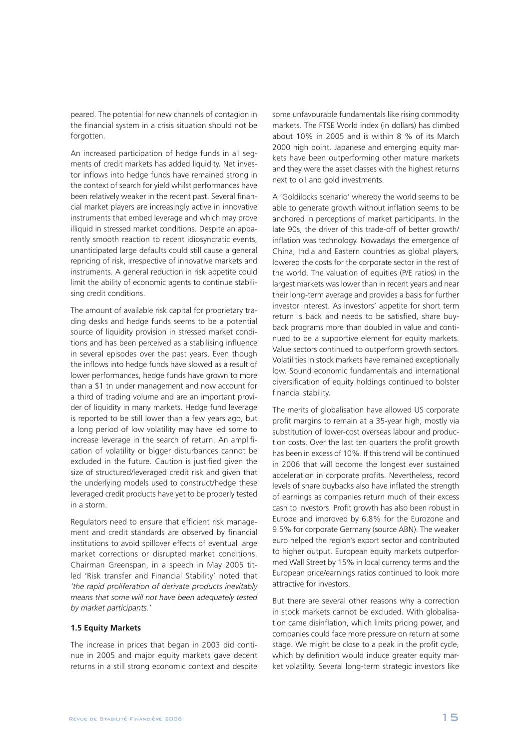peared. The potential for new channels of contagion in the financial system in a crisis situation should not be forgotten.

An increased participation of hedge funds in all segments of credit markets has added liquidity. Net investor inflows into hedge funds have remained strong in the context of search for yield whilst performances have been relatively weaker in the recent past. Several financial market players are increasingly active in innovative instruments that embed leverage and which may prove illiquid in stressed market conditions. Despite an apparently smooth reaction to recent idiosyncratic events, unanticipated large defaults could still cause a general repricing of risk, irrespective of innovative markets and instruments. A general reduction in risk appetite could limit the ability of economic agents to continue stabilising credit conditions.

The amount of available risk capital for proprietary trading desks and hedge funds seems to be a potential source of liquidity provision in stressed market conditions and has been perceived as a stabilising influence in several episodes over the past years. Even though the inflows into hedge funds have slowed as a result of lower performances, hedge funds have grown to more than a \$1 tn under management and now account for a third of trading volume and are an important provider of liquidity in many markets. Hedge fund leverage is reported to be still lower than a few years ago, but a long period of low volatility may have led some to increase leverage in the search of return. An amplification of volatility or bigger disturbances cannot be excluded in the future. Caution is justified given the size of structured/leveraged credit risk and given that the underlying models used to construct/hedge these leveraged credit products have yet to be properly tested in a storm.

Regulators need to ensure that efficient risk management and credit standards are observed by financial institutions to avoid spillover effects of eventual large market corrections or disrupted market conditions. Chairman Greenspan, in a speech in May 2005 titled 'Risk transfer and Financial Stability' noted that *'the rapid proliferation of derivate products inevitably means that some will not have been adequately tested by market participants.'*

# **1.5 Equity Markets**

The increase in prices that began in 2003 did continue in 2005 and major equity markets gave decent returns in a still strong economic context and despite

some unfavourable fundamentals like rising commodity markets. The FTSE World index (in dollars) has climbed about 10% in 2005 and is within 8 % of its March 2000 high point. Japanese and emerging equity markets have been outperforming other mature markets and they were the asset classes with the highest returns next to oil and gold investments.

A 'Goldilocks scenario' whereby the world seems to be able to generate growth without inflation seems to be anchored in perceptions of market participants. In the late 90s, the driver of this trade-off of better growth/ inflation was technology. Nowadays the emergence of China, India and Eastern countries as global players, lowered the costs for the corporate sector in the rest of the world. The valuation of equities (P/E ratios) in the largest markets was lower than in recent years and near their long-term average and provides a basis for further investor interest. As investors' appetite for short term return is back and needs to be satisfied, share buyback programs more than doubled in value and continued to be a supportive element for equity markets. Value sectors continued to outperform growth sectors. Volatilities in stock markets have remained exceptionally low. Sound economic fundamentals and international diversification of equity holdings continued to bolster financial stability.

The merits of globalisation have allowed US corporate profit margins to remain at a 35-year high, mostly via substitution of lower-cost overseas labour and production costs. Over the last ten quarters the profit growth has been in excess of 10%. If this trend will be continued in 2006 that will become the longest ever sustained acceleration in corporate profits. Nevertheless, record levels of share buybacks also have inflated the strength of earnings as companies return much of their excess cash to investors. Profit growth has also been robust in Europe and improved by 6.8% for the Eurozone and 9.5% for corporate Germany (source ABN). The weaker euro helped the region's export sector and contributed to higher output. European equity markets outperformed Wall Street by 15% in local currency terms and the European price/earnings ratios continued to look more attractive for investors.

But there are several other reasons why a correction in stock markets cannot be excluded. With globalisation came disinflation, which limits pricing power, and companies could face more pressure on return at some stage. We might be close to a peak in the profit cycle, which by definition would induce greater equity market volatility. Several long-term strategic investors like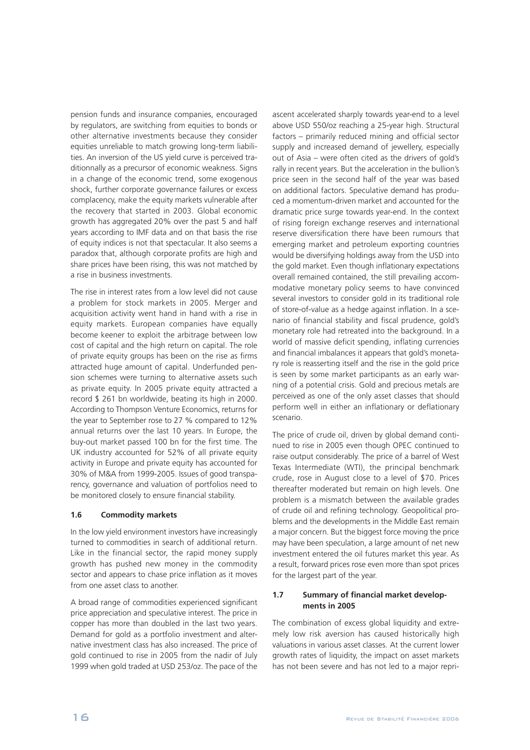pension funds and insurance companies, encouraged by regulators, are switching from equities to bonds or other alternative investments because they consider equities unreliable to match growing long-term liabilities. An inversion of the US yield curve is perceived traditionnally as a precursor of economic weakness. Signs in a change of the economic trend, some exogenous shock, further corporate governance failures or excess complacency, make the equity markets vulnerable after the recovery that started in 2003. Global economic growth has aggregated 20% over the past 5 and half years according to IMF data and on that basis the rise of equity indices is not that spectacular. It also seems a paradox that, although corporate profits are high and share prices have been rising, this was not matched by a rise in business investments.

The rise in interest rates from a low level did not cause a problem for stock markets in 2005. Merger and acquisition activity went hand in hand with a rise in equity markets. European companies have equally become keener to exploit the arbitrage between low cost of capital and the high return on capital. The role of private equity groups has been on the rise as firms attracted huge amount of capital. Underfunded pension schemes were turning to alternative assets such as private equity. In 2005 private equity attracted a record \$ 261 bn worldwide, beating its high in 2000. According to Thompson Venture Economics, returns for the year to September rose to 27 % compared to 12% annual returns over the last 10 years. In Europe, the buy-out market passed 100 bn for the first time. The UK industry accounted for 52% of all private equity activity in Europe and private equity has accounted for 30% of M&A from 1999-2005. Issues of good transparency, governance and valuation of portfolios need to be monitored closely to ensure financial stability.

## **1.6 Commodity markets**

In the low yield environment investors have increasingly turned to commodities in search of additional return. Like in the financial sector, the rapid money supply growth has pushed new money in the commodity sector and appears to chase price inflation as it moves from one asset class to another.

A broad range of commodities experienced significant price appreciation and speculative interest. The price in copper has more than doubled in the last two years. Demand for gold as a portfolio investment and alternative investment class has also increased. The price of gold continued to rise in 2005 from the nadir of July 1999 when gold traded at USD 253/oz. The pace of the

ascent accelerated sharply towards year-end to a level above USD 550/oz reaching a 25-year high. Structural factors – primarily reduced mining and official sector supply and increased demand of jewellery, especially out of Asia – were often cited as the drivers of gold's rally in recent years. But the acceleration in the bullion's price seen in the second half of the year was based on additional factors. Speculative demand has produced a momentum-driven market and accounted for the dramatic price surge towards year-end. In the context of rising foreign exchange reserves and international reserve diversification there have been rumours that emerging market and petroleum exporting countries would be diversifying holdings away from the USD into the gold market. Even though inflationary expectations overall remained contained, the still prevailing accommodative monetary policy seems to have convinced several investors to consider gold in its traditional role of store-of-value as a hedge against inflation. In a scenario of financial stability and fiscal prudence, gold's monetary role had retreated into the background. In a world of massive deficit spending, inflating currencies and financial imbalances it appears that gold's monetary role is reasserting itself and the rise in the gold price is seen by some market participants as an early warning of a potential crisis. Gold and precious metals are perceived as one of the only asset classes that should perform well in either an inflationary or deflationary scenario.

The price of crude oil, driven by global demand continued to rise in 2005 even though OPEC continued to raise output considerably. The price of a barrel of West Texas Intermediate (WTI), the principal benchmark crude, rose in August close to a level of \$70. Prices thereafter moderated but remain on high levels. One problem is a mismatch between the available grades of crude oil and refining technology. Geopolitical problems and the developments in the Middle East remain a major concern. But the biggest force moving the price may have been speculation, a large amount of net new investment entered the oil futures market this year. As a result, forward prices rose even more than spot prices for the largest part of the year.

# **1.7 Summary of financial market developments in 2005**

The combination of excess global liquidity and extremely low risk aversion has caused historically high valuations in various asset classes. At the current lower growth rates of liquidity, the impact on asset markets has not been severe and has not led to a major repri-